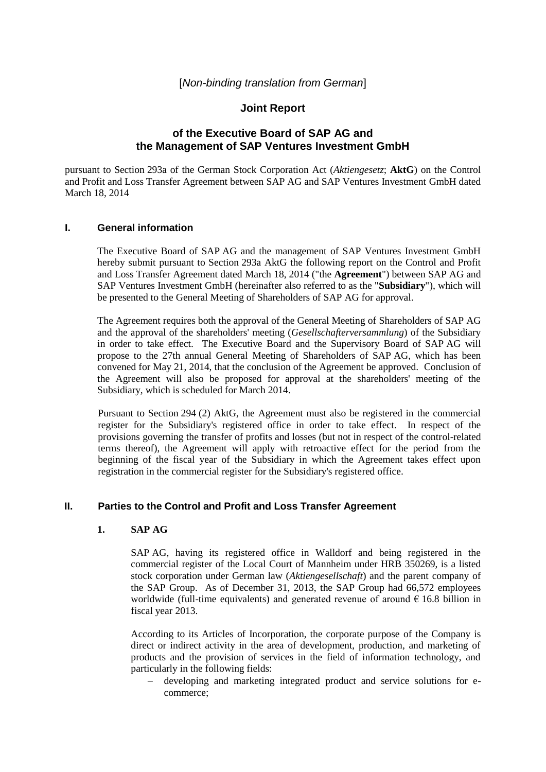# **Joint Report**

# **of the Executive Board of SAP AG and the Management of SAP Ventures Investment GmbH**

pursuant to Section 293a of the German Stock Corporation Act (*Aktiengesetz*; **AktG**) on the Control and Profit and Loss Transfer Agreement between SAP AG and SAP Ventures Investment GmbH dated March 18, 2014

### **I. General information**

The Executive Board of SAP AG and the management of SAP Ventures Investment GmbH hereby submit pursuant to Section 293a AktG the following report on the Control and Profit and Loss Transfer Agreement dated March 18, 2014 ("the **Agreement**") between SAP AG and SAP Ventures Investment GmbH (hereinafter also referred to as the "**Subsidiary**"), which will be presented to the General Meeting of Shareholders of SAP AG for approval.

The Agreement requires both the approval of the General Meeting of Shareholders of SAP AG and the approval of the shareholders' meeting (*Gesellschafterversammlung*) of the Subsidiary in order to take effect. The Executive Board and the Supervisory Board of SAP AG will propose to the 27th annual General Meeting of Shareholders of SAP AG, which has been convened for May 21, 2014, that the conclusion of the Agreement be approved. Conclusion of the Agreement will also be proposed for approval at the shareholders' meeting of the Subsidiary, which is scheduled for March 2014.

Pursuant to Section 294 (2) AktG, the Agreement must also be registered in the commercial register for the Subsidiary's registered office in order to take effect. In respect of the provisions governing the transfer of profits and losses (but not in respect of the control-related terms thereof), the Agreement will apply with retroactive effect for the period from the beginning of the fiscal year of the Subsidiary in which the Agreement takes effect upon registration in the commercial register for the Subsidiary's registered office.

## **II. Parties to the Control and Profit and Loss Transfer Agreement**

### **1. SAP AG**

SAP AG, having its registered office in Walldorf and being registered in the commercial register of the Local Court of Mannheim under HRB 350269, is a listed stock corporation under German law (*Aktiengesellschaft*) and the parent company of the SAP Group. As of December 31, 2013, the SAP Group had 66,572 employees worldwide (full-time equivalents) and generated revenue of around  $\epsilon$  16.8 billion in fiscal year 2013.

According to its Articles of Incorporation, the corporate purpose of the Company is direct or indirect activity in the area of development, production, and marketing of products and the provision of services in the field of information technology, and particularly in the following fields:

 developing and marketing integrated product and service solutions for ecommerce;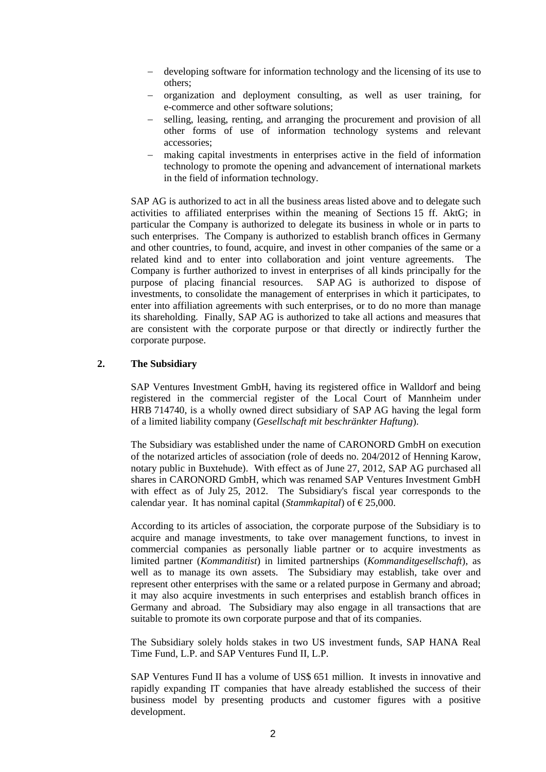- developing software for information technology and the licensing of its use to others;
- organization and deployment consulting, as well as user training, for e-commerce and other software solutions;
- selling, leasing, renting, and arranging the procurement and provision of all other forms of use of information technology systems and relevant accessories;
- making capital investments in enterprises active in the field of information technology to promote the opening and advancement of international markets in the field of information technology.

SAP AG is authorized to act in all the business areas listed above and to delegate such activities to affiliated enterprises within the meaning of Sections 15 ff. AktG; in particular the Company is authorized to delegate its business in whole or in parts to such enterprises. The Company is authorized to establish branch offices in Germany and other countries, to found, acquire, and invest in other companies of the same or a related kind and to enter into collaboration and joint venture agreements. The Company is further authorized to invest in enterprises of all kinds principally for the purpose of placing financial resources. SAP AG is authorized to dispose of investments, to consolidate the management of enterprises in which it participates, to enter into affiliation agreements with such enterprises, or to do no more than manage its shareholding. Finally, SAP AG is authorized to take all actions and measures that are consistent with the corporate purpose or that directly or indirectly further the corporate purpose.

### **2. The Subsidiary**

SAP Ventures Investment GmbH, having its registered office in Walldorf and being registered in the commercial register of the Local Court of Mannheim under HRB 714740, is a wholly owned direct subsidiary of SAP AG having the legal form of a limited liability company (*Gesellschaft mit beschränkter Haftung*).

The Subsidiary was established under the name of CARONORD GmbH on execution of the notarized articles of association (role of deeds no. 204/2012 of Henning Karow, notary public in Buxtehude). With effect as of June 27, 2012, SAP AG purchased all shares in CARONORD GmbH, which was renamed SAP Ventures Investment GmbH with effect as of July 25, 2012. The Subsidiary's fiscal year corresponds to the calendar year. It has nominal capital (*Stammkapital*) of  $\epsilon$  25,000.

According to its articles of association, the corporate purpose of the Subsidiary is to acquire and manage investments, to take over management functions, to invest in commercial companies as personally liable partner or to acquire investments as limited partner (*Kommanditist*) in limited partnerships (*Kommanditgesellschaft*), as well as to manage its own assets. The Subsidiary may establish, take over and represent other enterprises with the same or a related purpose in Germany and abroad; it may also acquire investments in such enterprises and establish branch offices in Germany and abroad. The Subsidiary may also engage in all transactions that are suitable to promote its own corporate purpose and that of its companies.

The Subsidiary solely holds stakes in two US investment funds, SAP HANA Real Time Fund, L.P. and SAP Ventures Fund II, L.P.

SAP Ventures Fund II has a volume of US\$ 651 million. It invests in innovative and rapidly expanding IT companies that have already established the success of their business model by presenting products and customer figures with a positive development.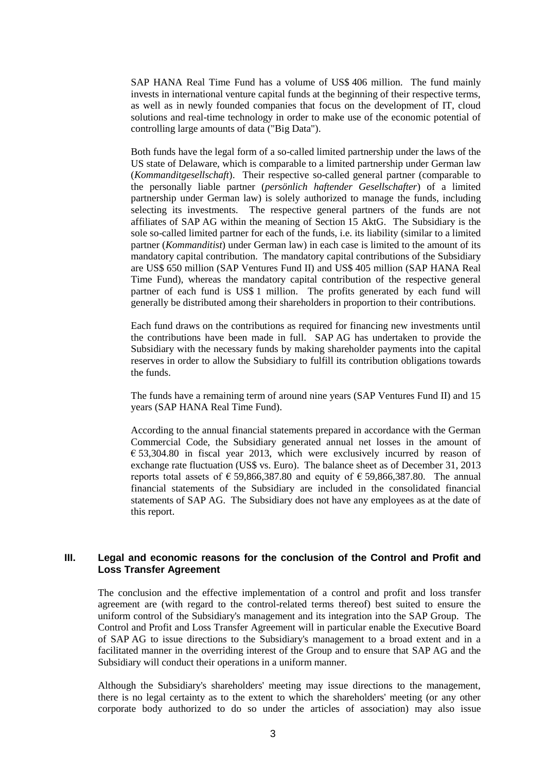SAP HANA Real Time Fund has a volume of US\$ 406 million. The fund mainly invests in international venture capital funds at the beginning of their respective terms, as well as in newly founded companies that focus on the development of IT, cloud solutions and real-time technology in order to make use of the economic potential of controlling large amounts of data ("Big Data").

Both funds have the legal form of a so-called limited partnership under the laws of the US state of Delaware, which is comparable to a limited partnership under German law (*Kommanditgesellschaft*). Their respective so-called general partner (comparable to the personally liable partner (*persönlich haftender Gesellschafter*) of a limited partnership under German law) is solely authorized to manage the funds, including selecting its investments. The respective general partners of the funds are not affiliates of SAP AG within the meaning of Section 15 AktG. The Subsidiary is the sole so-called limited partner for each of the funds, i.e. its liability (similar to a limited partner (*Kommanditist*) under German law) in each case is limited to the amount of its mandatory capital contribution. The mandatory capital contributions of the Subsidiary are US\$ 650 million (SAP Ventures Fund II) and US\$ 405 million (SAP HANA Real Time Fund), whereas the mandatory capital contribution of the respective general partner of each fund is US\$ 1 million. The profits generated by each fund will generally be distributed among their shareholders in proportion to their contributions.

Each fund draws on the contributions as required for financing new investments until the contributions have been made in full. SAP AG has undertaken to provide the Subsidiary with the necessary funds by making shareholder payments into the capital reserves in order to allow the Subsidiary to fulfill its contribution obligations towards the funds.

The funds have a remaining term of around nine years (SAP Ventures Fund II) and 15 years (SAP HANA Real Time Fund).

According to the annual financial statements prepared in accordance with the German Commercial Code, the Subsidiary generated annual net losses in the amount of  $\epsilon$  53,304.80 in fiscal year 2013, which were exclusively incurred by reason of exchange rate fluctuation (US\$ vs. Euro). The balance sheet as of December 31, 2013 reports total assets of  $\epsilon$  59,866,387.80 and equity of  $\epsilon$  59,866,387.80. The annual financial statements of the Subsidiary are included in the consolidated financial statements of SAP AG. The Subsidiary does not have any employees as at the date of this report.

### **III. Legal and economic reasons for the conclusion of the Control and Profit and Loss Transfer Agreement**

The conclusion and the effective implementation of a control and profit and loss transfer agreement are (with regard to the control-related terms thereof) best suited to ensure the uniform control of the Subsidiary's management and its integration into the SAP Group. The Control and Profit and Loss Transfer Agreement will in particular enable the Executive Board of SAP AG to issue directions to the Subsidiary's management to a broad extent and in a facilitated manner in the overriding interest of the Group and to ensure that SAP AG and the Subsidiary will conduct their operations in a uniform manner.

Although the Subsidiary's shareholders' meeting may issue directions to the management, there is no legal certainty as to the extent to which the shareholders' meeting (or any other corporate body authorized to do so under the articles of association) may also issue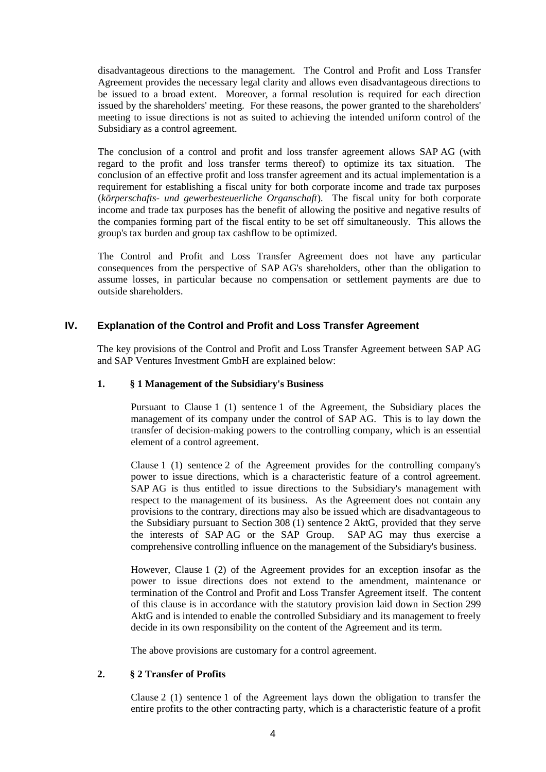disadvantageous directions to the management. The Control and Profit and Loss Transfer Agreement provides the necessary legal clarity and allows even disadvantageous directions to be issued to a broad extent. Moreover, a formal resolution is required for each direction issued by the shareholders' meeting. For these reasons, the power granted to the shareholders' meeting to issue directions is not as suited to achieving the intended uniform control of the Subsidiary as a control agreement.

The conclusion of a control and profit and loss transfer agreement allows SAP AG (with regard to the profit and loss transfer terms thereof) to optimize its tax situation. The conclusion of an effective profit and loss transfer agreement and its actual implementation is a requirement for establishing a fiscal unity for both corporate income and trade tax purposes (*körperschafts- und gewerbesteuerliche Organschaft*). The fiscal unity for both corporate income and trade tax purposes has the benefit of allowing the positive and negative results of the companies forming part of the fiscal entity to be set off simultaneously. This allows the group's tax burden and group tax cashflow to be optimized.

The Control and Profit and Loss Transfer Agreement does not have any particular consequences from the perspective of SAP AG's shareholders, other than the obligation to assume losses, in particular because no compensation or settlement payments are due to outside shareholders.

## **IV. Explanation of the Control and Profit and Loss Transfer Agreement**

The key provisions of the Control and Profit and Loss Transfer Agreement between SAP AG and SAP Ventures Investment GmbH are explained below:

## **1. § 1 Management of the Subsidiary's Business**

Pursuant to Clause 1 (1) sentence 1 of the Agreement, the Subsidiary places the management of its company under the control of SAP AG. This is to lay down the transfer of decision-making powers to the controlling company, which is an essential element of a control agreement.

Clause 1 (1) sentence 2 of the Agreement provides for the controlling company's power to issue directions, which is a characteristic feature of a control agreement. SAP AG is thus entitled to issue directions to the Subsidiary's management with respect to the management of its business. As the Agreement does not contain any provisions to the contrary, directions may also be issued which are disadvantageous to the Subsidiary pursuant to Section 308 (1) sentence 2 AktG, provided that they serve the interests of SAP AG or the SAP Group. SAP AG may thus exercise a comprehensive controlling influence on the management of the Subsidiary's business.

However, Clause 1 (2) of the Agreement provides for an exception insofar as the power to issue directions does not extend to the amendment, maintenance or termination of the Control and Profit and Loss Transfer Agreement itself. The content of this clause is in accordance with the statutory provision laid down in Section 299 AktG and is intended to enable the controlled Subsidiary and its management to freely decide in its own responsibility on the content of the Agreement and its term.

The above provisions are customary for a control agreement.

### **2. § 2 Transfer of Profits**

Clause 2 (1) sentence 1 of the Agreement lays down the obligation to transfer the entire profits to the other contracting party, which is a characteristic feature of a profit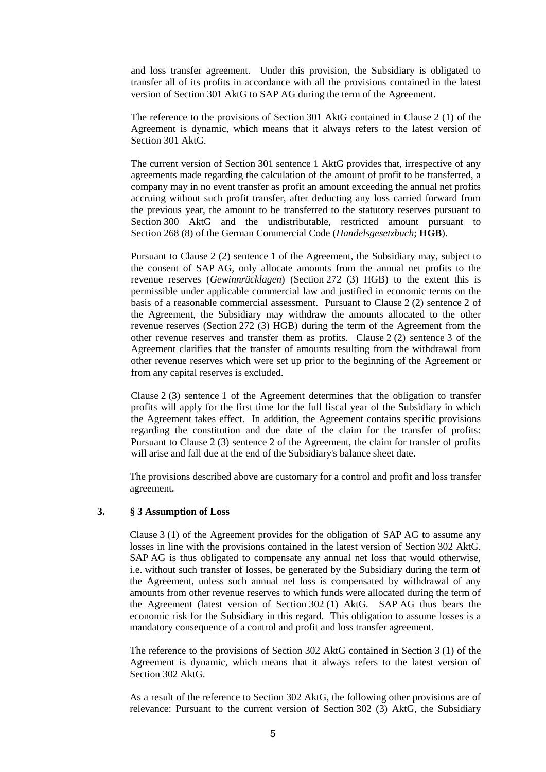and loss transfer agreement. Under this provision, the Subsidiary is obligated to transfer all of its profits in accordance with all the provisions contained in the latest version of Section 301 AktG to SAP AG during the term of the Agreement.

The reference to the provisions of Section 301 AktG contained in Clause 2 (1) of the Agreement is dynamic, which means that it always refers to the latest version of Section 301 AktG.

The current version of Section 301 sentence 1 AktG provides that, irrespective of any agreements made regarding the calculation of the amount of profit to be transferred, a company may in no event transfer as profit an amount exceeding the annual net profits accruing without such profit transfer, after deducting any loss carried forward from the previous year, the amount to be transferred to the statutory reserves pursuant to Section 300 AktG and the undistributable, restricted amount pursuant to Section 268 (8) of the German Commercial Code (*Handelsgesetzbuch*; **HGB**).

Pursuant to Clause 2 (2) sentence 1 of the Agreement, the Subsidiary may, subject to the consent of SAP AG, only allocate amounts from the annual net profits to the revenue reserves (*Gewinnrücklagen*) (Section 272 (3) HGB) to the extent this is permissible under applicable commercial law and justified in economic terms on the basis of a reasonable commercial assessment. Pursuant to Clause 2 (2) sentence 2 of the Agreement, the Subsidiary may withdraw the amounts allocated to the other revenue reserves (Section 272 (3) HGB) during the term of the Agreement from the other revenue reserves and transfer them as profits. Clause 2 (2) sentence 3 of the Agreement clarifies that the transfer of amounts resulting from the withdrawal from other revenue reserves which were set up prior to the beginning of the Agreement or from any capital reserves is excluded.

Clause 2 (3) sentence 1 of the Agreement determines that the obligation to transfer profits will apply for the first time for the full fiscal year of the Subsidiary in which the Agreement takes effect. In addition, the Agreement contains specific provisions regarding the constitution and due date of the claim for the transfer of profits: Pursuant to Clause 2 (3) sentence 2 of the Agreement, the claim for transfer of profits will arise and fall due at the end of the Subsidiary's balance sheet date.

The provisions described above are customary for a control and profit and loss transfer agreement.

### **3. § 3 Assumption of Loss**

Clause 3 (1) of the Agreement provides for the obligation of SAP AG to assume any losses in line with the provisions contained in the latest version of Section 302 AktG. SAP AG is thus obligated to compensate any annual net loss that would otherwise, i.e. without such transfer of losses, be generated by the Subsidiary during the term of the Agreement, unless such annual net loss is compensated by withdrawal of any amounts from other revenue reserves to which funds were allocated during the term of the Agreement (latest version of Section 302 (1) AktG. SAP AG thus bears the economic risk for the Subsidiary in this regard. This obligation to assume losses is a mandatory consequence of a control and profit and loss transfer agreement.

The reference to the provisions of Section 302 AktG contained in Section 3 (1) of the Agreement is dynamic, which means that it always refers to the latest version of Section 302 AktG.

As a result of the reference to Section 302 AktG, the following other provisions are of relevance: Pursuant to the current version of Section 302 (3) AktG, the Subsidiary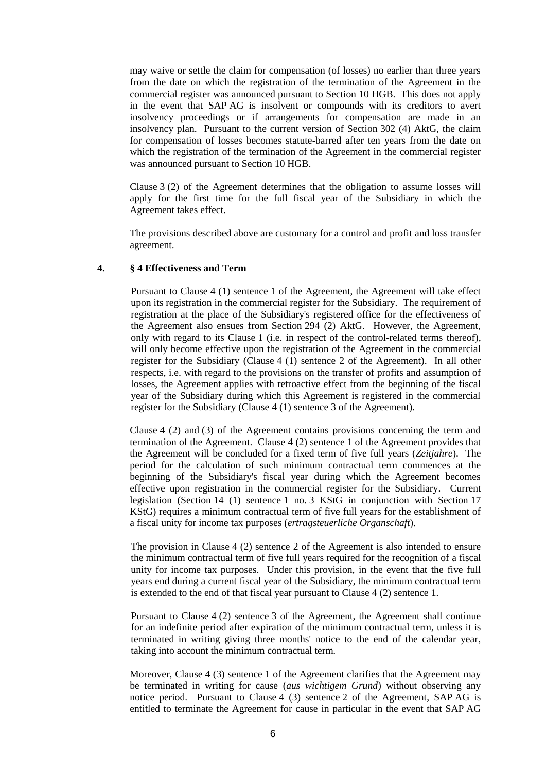may waive or settle the claim for compensation (of losses) no earlier than three years from the date on which the registration of the termination of the Agreement in the commercial register was announced pursuant to Section 10 HGB. This does not apply in the event that SAP AG is insolvent or compounds with its creditors to avert insolvency proceedings or if arrangements for compensation are made in an insolvency plan. Pursuant to the current version of Section 302 (4) AktG, the claim for compensation of losses becomes statute-barred after ten years from the date on which the registration of the termination of the Agreement in the commercial register was announced pursuant to Section 10 HGB.

Clause 3 (2) of the Agreement determines that the obligation to assume losses will apply for the first time for the full fiscal year of the Subsidiary in which the Agreement takes effect.

The provisions described above are customary for a control and profit and loss transfer agreement.

### **4. § 4 Effectiveness and Term**

Pursuant to Clause 4 (1) sentence 1 of the Agreement, the Agreement will take effect upon its registration in the commercial register for the Subsidiary. The requirement of registration at the place of the Subsidiary's registered office for the effectiveness of the Agreement also ensues from Section 294 (2) AktG. However, the Agreement, only with regard to its Clause 1 (i.e. in respect of the control-related terms thereof), will only become effective upon the registration of the Agreement in the commercial register for the Subsidiary (Clause 4 (1) sentence 2 of the Agreement). In all other respects, i.e. with regard to the provisions on the transfer of profits and assumption of losses, the Agreement applies with retroactive effect from the beginning of the fiscal year of the Subsidiary during which this Agreement is registered in the commercial register for the Subsidiary (Clause 4 (1) sentence 3 of the Agreement).

Clause 4 (2) and (3) of the Agreement contains provisions concerning the term and termination of the Agreement. Clause 4 (2) sentence 1 of the Agreement provides that the Agreement will be concluded for a fixed term of five full years (*Zeitjahre*). The period for the calculation of such minimum contractual term commences at the beginning of the Subsidiary's fiscal year during which the Agreement becomes effective upon registration in the commercial register for the Subsidiary. Current legislation (Section 14 (1) sentence 1 no. 3 KStG in conjunction with Section 17 KStG) requires a minimum contractual term of five full years for the establishment of a fiscal unity for income tax purposes (*ertragsteuerliche Organschaft*).

The provision in Clause 4 (2) sentence 2 of the Agreement is also intended to ensure the minimum contractual term of five full years required for the recognition of a fiscal unity for income tax purposes. Under this provision, in the event that the five full years end during a current fiscal year of the Subsidiary, the minimum contractual term is extended to the end of that fiscal year pursuant to Clause 4 (2) sentence 1.

Pursuant to Clause 4 (2) sentence 3 of the Agreement, the Agreement shall continue for an indefinite period after expiration of the minimum contractual term, unless it is terminated in writing giving three months' notice to the end of the calendar year, taking into account the minimum contractual term.

Moreover, Clause 4 (3) sentence 1 of the Agreement clarifies that the Agreement may be terminated in writing for cause (*aus wichtigem Grund*) without observing any notice period. Pursuant to Clause 4 (3) sentence 2 of the Agreement, SAP AG is entitled to terminate the Agreement for cause in particular in the event that SAP AG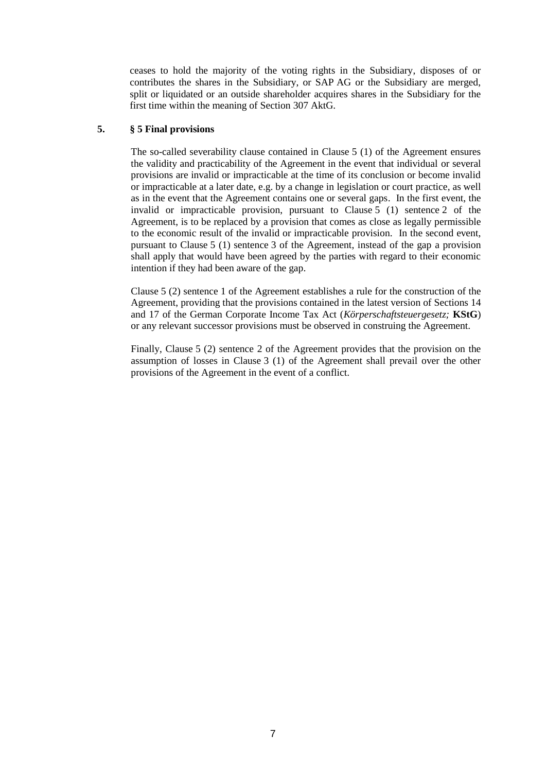ceases to hold the majority of the voting rights in the Subsidiary, disposes of or contributes the shares in the Subsidiary, or SAP AG or the Subsidiary are merged, split or liquidated or an outside shareholder acquires shares in the Subsidiary for the first time within the meaning of Section 307 AktG.

### **5. § 5 Final provisions**

The so-called severability clause contained in Clause 5 (1) of the Agreement ensures the validity and practicability of the Agreement in the event that individual or several provisions are invalid or impracticable at the time of its conclusion or become invalid or impracticable at a later date, e.g. by a change in legislation or court practice, as well as in the event that the Agreement contains one or several gaps. In the first event, the invalid or impracticable provision, pursuant to Clause 5 (1) sentence 2 of the Agreement, is to be replaced by a provision that comes as close as legally permissible to the economic result of the invalid or impracticable provision. In the second event, pursuant to Clause 5 (1) sentence 3 of the Agreement, instead of the gap a provision shall apply that would have been agreed by the parties with regard to their economic intention if they had been aware of the gap.

Clause 5 (2) sentence 1 of the Agreement establishes a rule for the construction of the Agreement, providing that the provisions contained in the latest version of Sections 14 and 17 of the German Corporate Income Tax Act (*Körperschaftsteuergesetz;* **KStG**) or any relevant successor provisions must be observed in construing the Agreement.

Finally, Clause 5 (2) sentence 2 of the Agreement provides that the provision on the assumption of losses in Clause 3 (1) of the Agreement shall prevail over the other provisions of the Agreement in the event of a conflict.